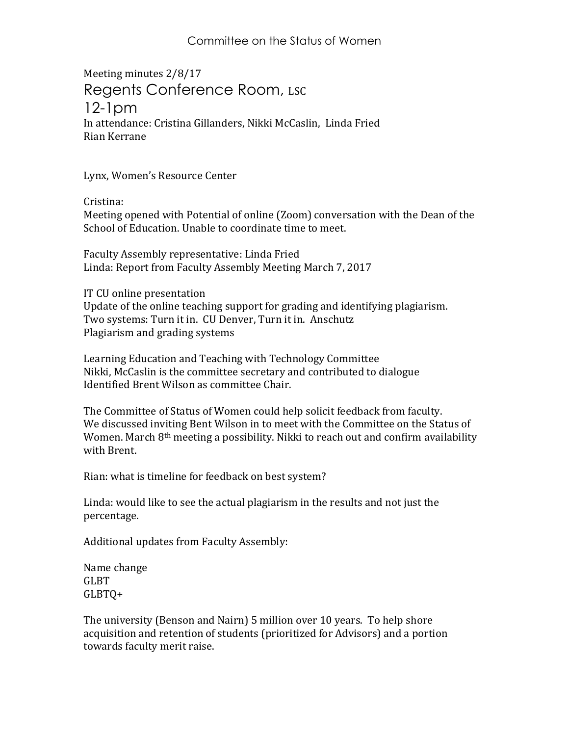## Committee on the Status of Women

Meeting minutes 2/8/17 Regents Conference Room, LSC 12-1pm In attendance: Cristina Gillanders, Nikki McCaslin, Linda Fried Rian Kerrane

Lynx, Women's Resource Center

Cristina:

Meeting opened with Potential of online (Zoom) conversation with the Dean of the School of Education. Unable to coordinate time to meet.

Faculty Assembly representative: Linda Fried Linda: Report from Faculty Assembly Meeting March 7, 2017

IT CU online presentation Update of the online teaching support for grading and identifying plagiarism. Two systems: Turn it in. CU Denver, Turn it in. Anschutz Plagiarism and grading systems

Learning Education and Teaching with Technology Committee Nikki, McCaslin is the committee secretary and contributed to dialogue Identified Brent Wilson as committee Chair.

The Committee of Status of Women could help solicit feedback from faculty. We discussed inviting Bent Wilson in to meet with the Committee on the Status of Women. March 8<sup>th</sup> meeting a possibility. Nikki to reach out and confirm availability with Brent.

Rian: what is timeline for feedback on best system?

Linda: would like to see the actual plagiarism in the results and not just the percentage.

Additional updates from Faculty Assembly:

Name change GLBT GLBTQ+

The university (Benson and Nairn) 5 million over 10 years. To help shore acquisition and retention of students (prioritized for Advisors) and a portion towards faculty merit raise.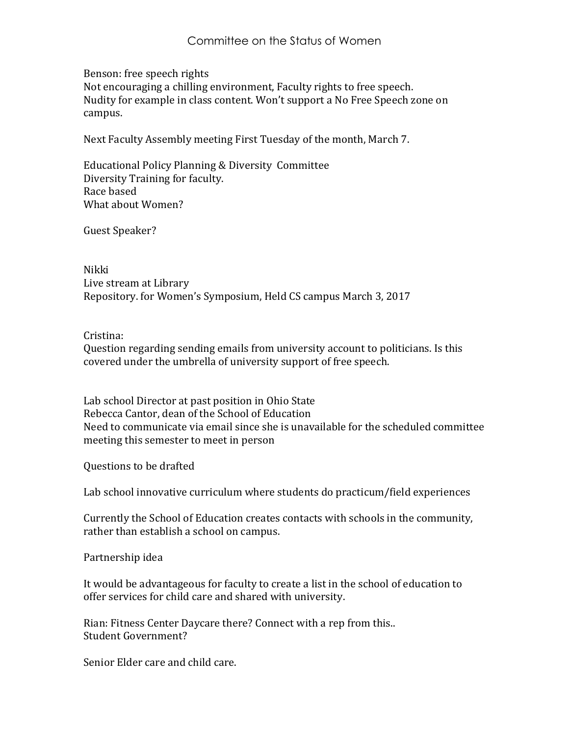Benson: free speech rights

Not encouraging a chilling environment, Faculty rights to free speech. Nudity for example in class content. Won't support a No Free Speech zone on campus.

Next Faculty Assembly meeting First Tuesday of the month, March 7.

Educational Policy Planning & Diversity Committee Diversity Training for faculty. Race based What about Women?

Guest Speaker?

Nikki Live stream at Library Repository. for Women's Symposium, Held CS campus March 3, 2017

## Cristina:

Question regarding sending emails from university account to politicians. Is this covered under the umbrella of university support of free speech.

Lab school Director at past position in Ohio State Rebecca Cantor, dean of the School of Education Need to communicate via email since she is unavailable for the scheduled committee meeting this semester to meet in person

Questions to be drafted

Lab school innovative curriculum where students do practicum/field experiences

Currently the School of Education creates contacts with schools in the community, rather than establish a school on campus.

Partnership idea

It would be advantageous for faculty to create a list in the school of education to offer services for child care and shared with university.

Rian: Fitness Center Daycare there? Connect with a rep from this.. Student Government?

Senior Elder care and child care.